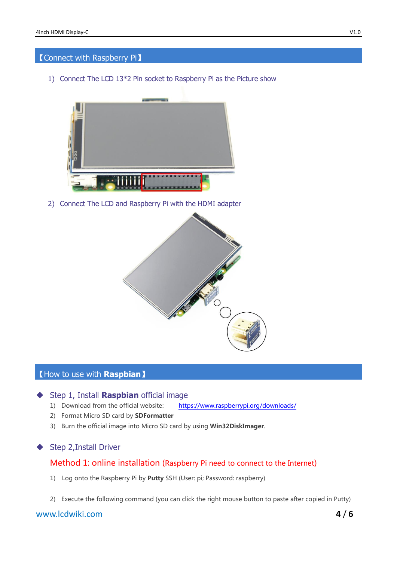# 【Connect with Raspberry Pi】

1) Connect The LCD 13\*2 Pin socket to Raspberry Pi as the Picture show



2) Connect The LCD and Raspberry Pi with the HDMI adapter



### 【How to use with **Raspbian**】

# Step 1, Install **Raspbian** official image

- 1) Download from the official website: <https://www.raspberrypi.org/downloads/>
- 2) Format Micro SD card by **SDFormatter**
- 3) Burn the official image into Micro SD card by using Win32DiskImager.

#### ◆ Step 2, Install Driver

# Method 1: online installation (Raspberry Pi need to connect to the Internet)

- 1) Log onto the Raspberry Pi by Putty SSH (User: pi; Password: raspberry)
- 2) Execute the following command (you can click the right mouse button to paste after copied in Putty)

# www.lcdwiki.com **4** / **6**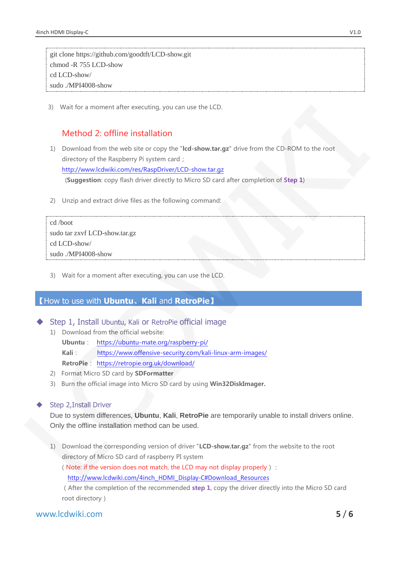git clone<https://github.com/goodtft/LCD-show.git> chmod -R 755 LCD-show cd LCD-show/ sudo ./MPI4008-show

3) Wait for a moment after executing, you can use the LCD.

# Method 2: offline installation

- 1) Download from the web site or copy the "Icd-show.tar.gz" drive from the CD-ROM to the root directory of the Raspberry Pi system card; http://www.lcdwiki.com/res/RaspDriver/LCD-show.tar.gz (Suggestion: copy flash driver directly to Micro SD card after completion of Step 1)
- 2) Unzip and extract drive files as the following command:

| cd /boot                      |
|-------------------------------|
| sudo tar zxvf LCD-show.tar.gz |
| cd LCD-show/                  |
| sudo ./MPI4008-show           |

3) Wait for a moment after executing, you can use the LCD.

# 【How to use with **Ubuntu**、**Kali** and **RetroPie**】

Step 1, Install Ubuntu, Kali or RetroPie official image

- 1) Download from the official website:
	- Ubuntu: <https://ubuntu-mate.org/raspberry-pi/> Kali: <https://www.offensive-security.com/kali-linux-arm-images/>
	- RetroPie: https://retropie.org.uk/download/
- 2) Format Micro SD card by SDFormatter
- 3) Burn the official image into Micro SD card by using Win32DiskImager.

#### Step 2,Install Driver

Due to system differences, **Ubuntu**, **Kali**, **RetroPie** are temporarily unable to install drivers online. Only the offline installation method can be used.

1) Download the corresponding version of driver "LCD-show.tar.gz" from the website to the root directory of Micro SD card of raspberry PI system

(Note: if the version does not match, the LCD may not display properly):

[http://www.lcdwiki.com/4inch\\_HDMI\\_Display-C#Download\\_Resources](http://www.lcdwiki.com/4inch_HDMI_Display-C#Download_Resources)

(After the completion of the recommended step 1, copy the driver directly into the Micro SD card root directory)

# www.lcdwiki.com **5** / **6**